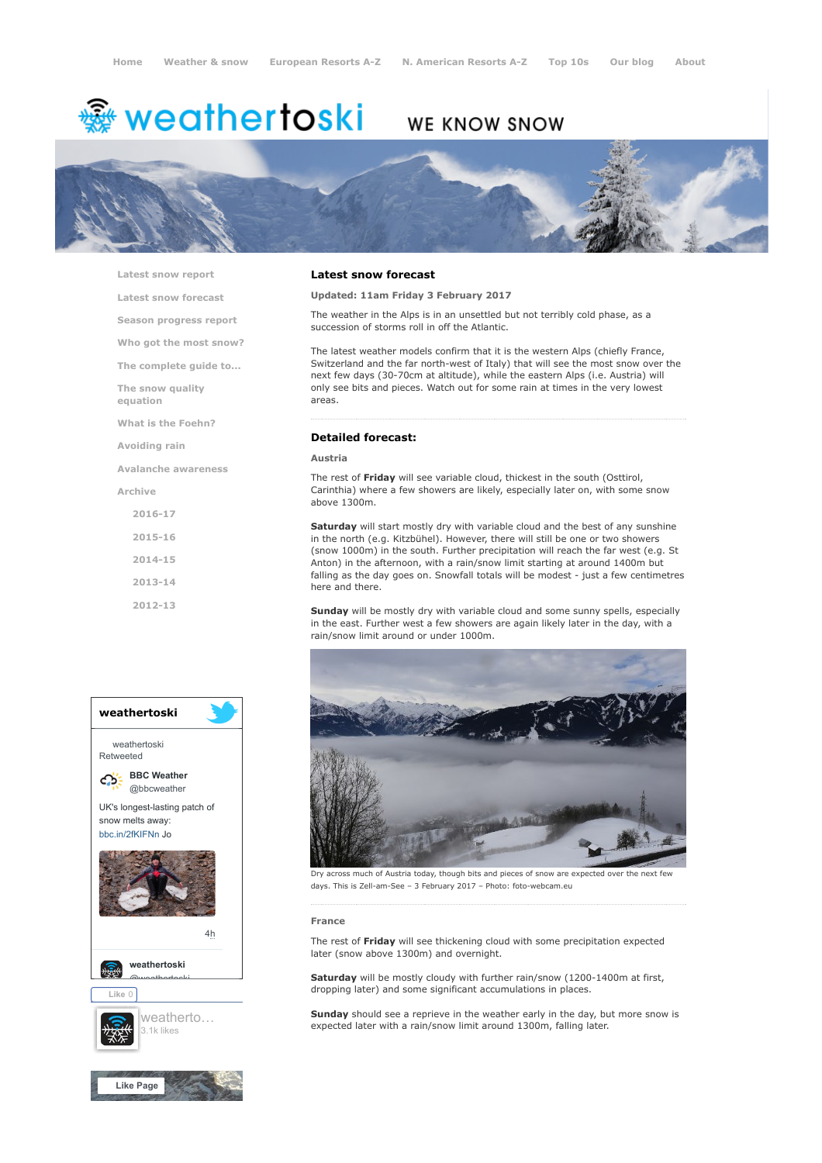# <del>鑾</del> weathertoski

# WE KNOW SNOW



[Latest snow report](https://www.weathertoski.co.uk/weather-snow/latest-snow-report/)

[Latest snow forecast](https://www.weathertoski.co.uk/weather-snow/latest-snow-forecast/)

[Season progress report](https://www.weathertoski.co.uk/weather-snow/season-progress-report/)

[Who got the most snow?](https://www.weathertoski.co.uk/weather-snow/who-got-the-most-snow/)

[The complete guide to...](https://www.weathertoski.co.uk/weather-snow/the-complete-guide-to/)

[The snow quality](https://www.weathertoski.co.uk/weather-snow/the-snow-quality-equation/)

[What is the Foehn?](https://www.weathertoski.co.uk/weather-snow/what-is-the-foehn/)

[Avoiding rain](https://www.weathertoski.co.uk/weather-snow/avoiding-rain/)

[Avalanche awareness](https://www.weathertoski.co.uk/weather-snow/avalanche-awareness/)

[Archive](https://www.weathertoski.co.uk/weather-snow/archive/)

equation

[2016-17](https://www.weathertoski.co.uk/weather-snow/archive/2016-17/) [2015-16](https://www.weathertoski.co.uk/weather-snow/archive/2015-16/) [2014-15](https://www.weathertoski.co.uk/weather-snow/archive/2014-15/) [2013-14](https://www.weathertoski.co.uk/weather-snow/archive/2013-14/)

[2012-13](https://www.weathertoski.co.uk/weather-snow/archive/2012-13/)



# Latest snow forecast

# Updated: 11am Friday 3 February 2017

The weather in the Alps is in an unsettled but not terribly cold phase, as a succession of storms roll in off the Atlantic.

The latest weather models confirm that it is the western Alps (chiefly France, Switzerland and the far north-west of Italy) that will see the most snow over the next few days (30-70cm at altitude), while the eastern Alps (i.e. Austria) will only see bits and pieces. Watch out for some rain at times in the very lowest areas.

# Detailed forecast:

# Austria

The rest of Friday will see variable cloud, thickest in the south (Osttirol, Carinthia) where a few showers are likely, especially later on, with some snow above 1300m.

Saturday will start mostly dry with variable cloud and the best of any sunshine in the north (e.g. Kitzbühel). However, there will still be one or two showers (snow 1000m) in the south. Further precipitation will reach the far west (e.g. St Anton) in the afternoon, with a rain/snow limit starting at around 1400m but falling as the day goes on. Snowfall totals will be modest - just a few centimetres here and there.

Sunday will be mostly dry with variable cloud and some sunny spells, especially in the east. Further west a few showers are again likely later in the day, with a rain/snow limit around or under 1000m.



Dry across much of Austria today, though bits and pieces of snow are expected over the next few days. This is Zell-am-See – 3 February 2017 – Photo: foto-webcam.eu

#### France

The rest of Friday will see thickening cloud with some precipitation expected later (snow above 1300m) and overnight.

Saturday will be mostly cloudy with further rain/snow (1200-1400m at first, dropping later) and some significant accumulations in places.

Sunday should see a reprieve in the weather early in the day, but more snow is expected later with a rain/snow limit around 1300m, falling later.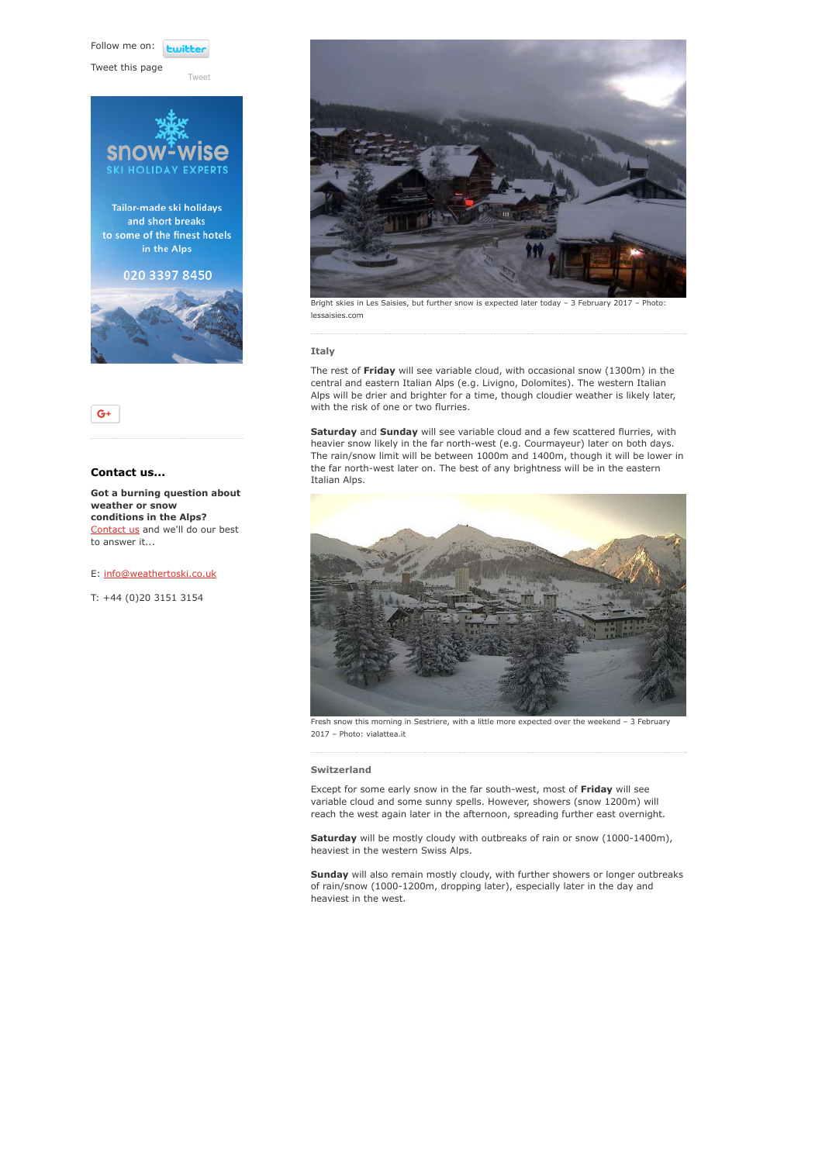Follow me on: **Lwitte** 

[Tweet](https://twitter.com/intent/tweet?original_referer=https%3A%2F%2Fwww.weathertoski.co.uk%2Fweather-snow%2Farchive%2Fsnow-forecast-03-02-2017%2F&ref_src=twsrc%5Etfw&text=Weather%20to%20ski%20-%20Snow%20forecast%20-%203%20February%202017&tw_p=tweetbutton&url=https%3A%2F%2Fwww.weathertoski.co.uk%2Fweather-snow%2Farchive%2Fsnow-forecast-03-02-2017%2F)

Tweet this page





# Contact us...

Got a burning question about weather or snow conditions in the Alps? [Contact us](https://www.weathertoski.co.uk/about-1/contact-us/) and we'll do our best to answer it...

# E: [info@weathertoski.co.uk](mailto:fraser@weathertoski.co.uk)

T: +44 (0)20 3151 3154



Bright skies in Les Saisies, but further snow is expected later today – 3 February 2017 – Photo: lessaisies.com

## Italy

The rest of Friday will see variable cloud, with occasional snow (1300m) in the central and eastern Italian Alps (e.g. Livigno, Dolomites). The western Italian Alps will be drier and brighter for a time, though cloudier weather is likely later, with the risk of one or two flurries.

Saturday and Sunday will see variable cloud and a few scattered flurries, with heavier snow likely in the far north-west (e.g. Courmayeur) later on both days. The rain/snow limit will be between 1000m and 1400m, though it will be lower in the far north-west later on. The best of any brightness will be in the eastern Italian Alps.



Fresh snow this morning in Sestriere, with a little more expected over the weekend – 3 February 2017 – Photo: vialattea.it

#### Switzerland

Except for some early snow in the far south-west, most of Friday will see variable cloud and some sunny spells. However, showers (snow 1200m) will reach the west again later in the afternoon, spreading further east overnight.

Saturday will be mostly cloudy with outbreaks of rain or snow (1000-1400m), heaviest in the western Swiss Alps.

Sunday will also remain mostly cloudy, with further showers or longer outbreaks of rain/snow (1000-1200m, dropping later), especially later in the day and heaviest in the west.